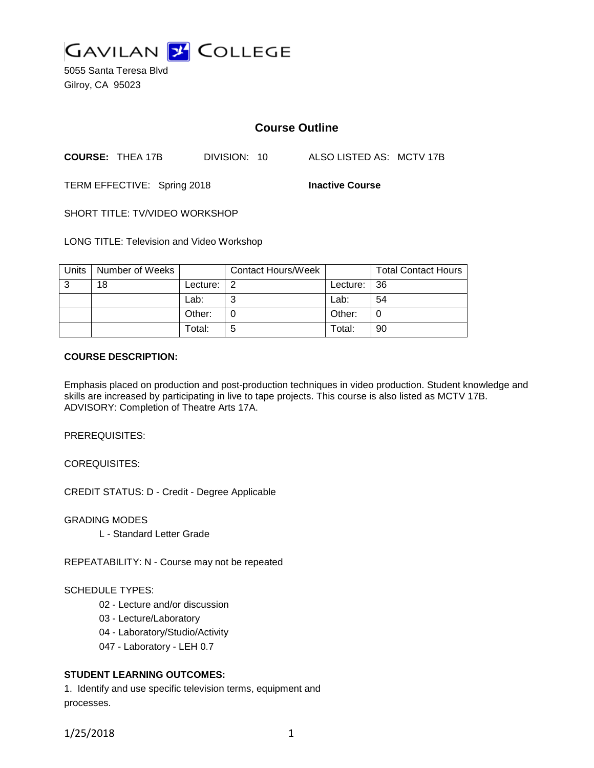

5055 Santa Teresa Blvd Gilroy, CA 95023

# **Course Outline**

**COURSE:** THEA 17B DIVISION: 10 ALSO LISTED AS: MCTV 17B

TERM EFFECTIVE: Spring 2018 **Inactive Course**

SHORT TITLE: TV/VIDEO WORKSHOP

LONG TITLE: Television and Video Workshop

| Units | Number of Weeks |          | <b>Contact Hours/Week</b> |             | <b>Total Contact Hours</b> |
|-------|-----------------|----------|---------------------------|-------------|----------------------------|
| 3     | 18              | Lecture: | 2                         | Lecture: 36 |                            |
|       |                 | Lab:     | ⌒                         | Lab:        | 54                         |
|       |                 | Other:   |                           | Other:      |                            |
|       |                 | Total:   | 5                         | Total:      | 90                         |

# **COURSE DESCRIPTION:**

Emphasis placed on production and post-production techniques in video production. Student knowledge and skills are increased by participating in live to tape projects. This course is also listed as MCTV 17B. ADVISORY: Completion of Theatre Arts 17A.

PREREQUISITES:

COREQUISITES:

CREDIT STATUS: D - Credit - Degree Applicable

GRADING MODES

L - Standard Letter Grade

REPEATABILITY: N - Course may not be repeated

# SCHEDULE TYPES:

- 02 Lecture and/or discussion
- 03 Lecture/Laboratory
- 04 Laboratory/Studio/Activity
- 047 Laboratory LEH 0.7

# **STUDENT LEARNING OUTCOMES:**

1. Identify and use specific television terms, equipment and processes.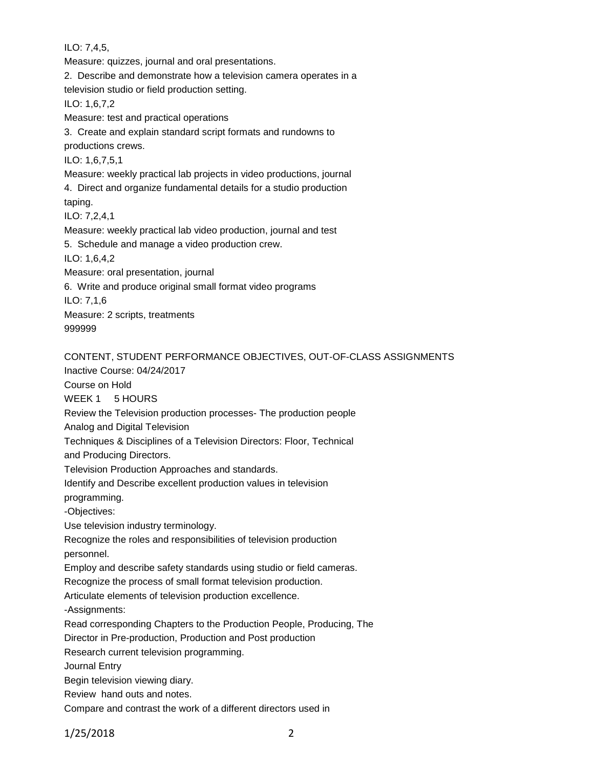ILO: 7,4,5,

Measure: quizzes, journal and oral presentations. 2. Describe and demonstrate how a television camera operates in a television studio or field production setting. ILO: 1,6,7,2 Measure: test and practical operations 3. Create and explain standard script formats and rundowns to productions crews. ILO: 1,6,7,5,1 Measure: weekly practical lab projects in video productions, journal 4. Direct and organize fundamental details for a studio production taping. ILO: 7,2,4,1 Measure: weekly practical lab video production, journal and test 5. Schedule and manage a video production crew. ILO: 1,6,4,2 Measure: oral presentation, journal 6. Write and produce original small format video programs ILO: 7,1,6 Measure: 2 scripts, treatments 999999 CONTENT, STUDENT PERFORMANCE OBJECTIVES, OUT-OF-CLASS ASSIGNMENTS Inactive Course: 04/24/2017 Course on Hold

WEEK 1 5 HOURS

Review the Television production processes- The production people

Analog and Digital Television

Techniques & Disciplines of a Television Directors: Floor, Technical

and Producing Directors.

Television Production Approaches and standards.

Identify and Describe excellent production values in television

programming.

-Objectives:

Use television industry terminology.

Recognize the roles and responsibilities of television production

personnel.

Employ and describe safety standards using studio or field cameras.

Recognize the process of small format television production.

Articulate elements of television production excellence.

-Assignments:

Read corresponding Chapters to the Production People, Producing, The

Director in Pre-production, Production and Post production

Research current television programming.

Journal Entry

Begin television viewing diary.

Review hand outs and notes.

Compare and contrast the work of a different directors used in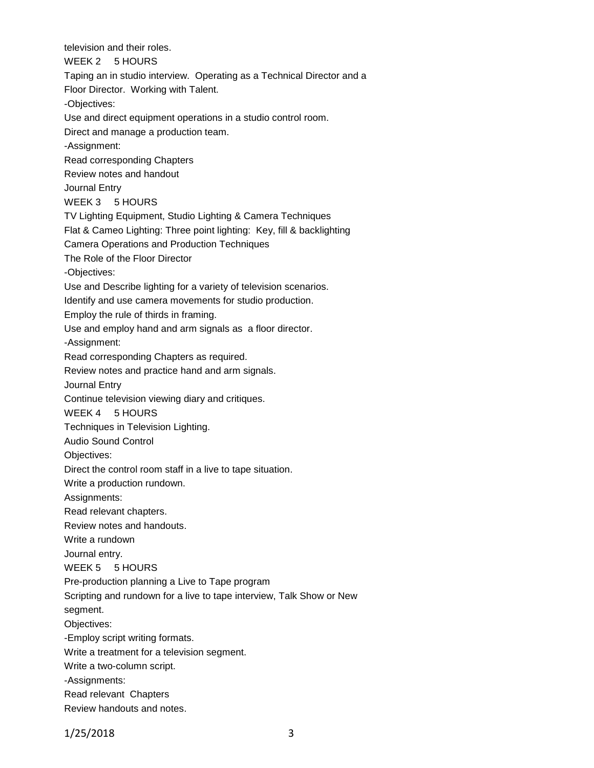television and their roles. WEEK 2 5 HOURS Taping an in studio interview. Operating as a Technical Director and a Floor Director. Working with Talent. -Objectives: Use and direct equipment operations in a studio control room. Direct and manage a production team. -Assignment: Read corresponding Chapters Review notes and handout Journal Entry WEEK 3 5 HOURS TV Lighting Equipment, Studio Lighting & Camera Techniques Flat & Cameo Lighting: Three point lighting: Key, fill & backlighting Camera Operations and Production Techniques The Role of the Floor Director -Objectives: Use and Describe lighting for a variety of television scenarios. Identify and use camera movements for studio production. Employ the rule of thirds in framing. Use and employ hand and arm signals as a floor director. -Assignment: Read corresponding Chapters as required. Review notes and practice hand and arm signals. Journal Entry Continue television viewing diary and critiques. WEEK 4 5 HOURS Techniques in Television Lighting. Audio Sound Control Objectives: Direct the control room staff in a live to tape situation. Write a production rundown. Assignments: Read relevant chapters. Review notes and handouts. Write a rundown Journal entry. WEEK 5 5 HOURS Pre-production planning a Live to Tape program Scripting and rundown for a live to tape interview, Talk Show or New segment. Objectives: -Employ script writing formats. Write a treatment for a television segment. Write a two-column script. -Assignments: Read relevant Chapters Review handouts and notes.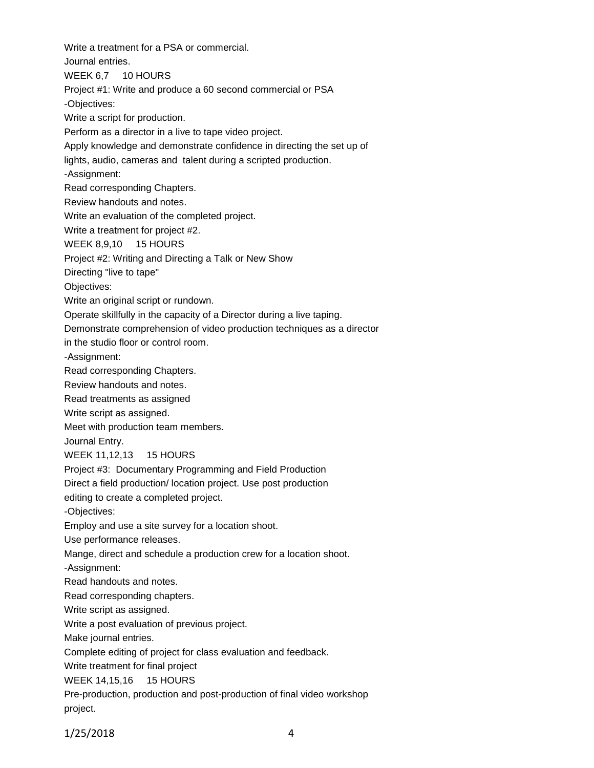Write a treatment for a PSA or commercial. Journal entries. WEEK 6,7 10 HOURS Project #1: Write and produce a 60 second commercial or PSA -Objectives: Write a script for production. Perform as a director in a live to tape video project. Apply knowledge and demonstrate confidence in directing the set up of lights, audio, cameras and talent during a scripted production. -Assignment: Read corresponding Chapters. Review handouts and notes. Write an evaluation of the completed project. Write a treatment for project #2. WEEK 8,9,10 15 HOURS Project #2: Writing and Directing a Talk or New Show Directing "live to tape" Objectives: Write an original script or rundown. Operate skillfully in the capacity of a Director during a live taping. Demonstrate comprehension of video production techniques as a director in the studio floor or control room. -Assignment: Read corresponding Chapters. Review handouts and notes. Read treatments as assigned Write script as assigned. Meet with production team members. Journal Entry. WEEK 11,12,13 15 HOURS Project #3: Documentary Programming and Field Production Direct a field production/ location project. Use post production editing to create a completed project. -Objectives: Employ and use a site survey for a location shoot. Use performance releases. Mange, direct and schedule a production crew for a location shoot. -Assignment: Read handouts and notes. Read corresponding chapters. Write script as assigned. Write a post evaluation of previous project. Make journal entries. Complete editing of project for class evaluation and feedback. Write treatment for final project WEEK 14,15,16 15 HOURS Pre-production, production and post-production of final video workshop project.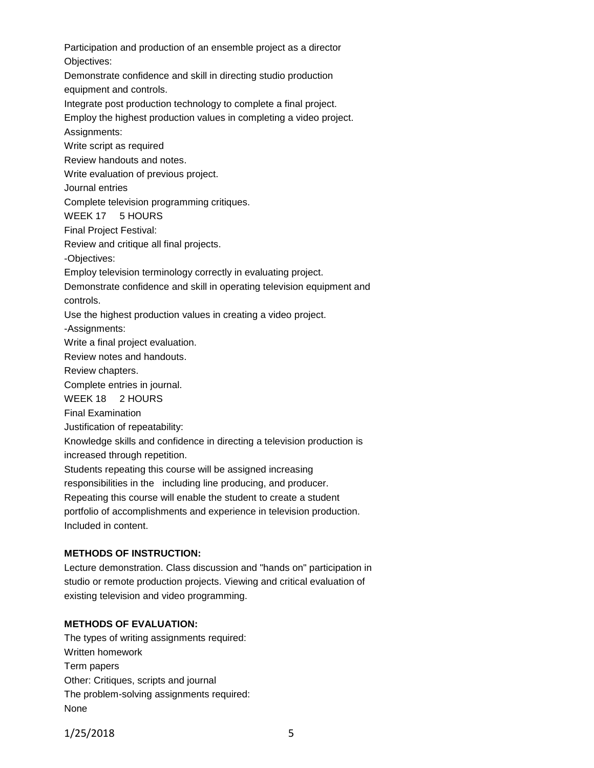Participation and production of an ensemble project as a director Objectives: Demonstrate confidence and skill in directing studio production equipment and controls. Integrate post production technology to complete a final project. Employ the highest production values in completing a video project. Assignments: Write script as required Review handouts and notes. Write evaluation of previous project. Journal entries Complete television programming critiques. WEEK 17 5 HOURS Final Project Festival: Review and critique all final projects. -Objectives: Employ television terminology correctly in evaluating project. Demonstrate confidence and skill in operating television equipment and controls. Use the highest production values in creating a video project. -Assignments: Write a final project evaluation. Review notes and handouts. Review chapters. Complete entries in journal. WEEK 18 2 HOURS Final Examination Justification of repeatability: Knowledge skills and confidence in directing a television production is increased through repetition. Students repeating this course will be assigned increasing responsibilities in the including line producing, and producer. Repeating this course will enable the student to create a student portfolio of accomplishments and experience in television production. Included in content.

#### **METHODS OF INSTRUCTION:**

Lecture demonstration. Class discussion and "hands on" participation in studio or remote production projects. Viewing and critical evaluation of existing television and video programming.

# **METHODS OF EVALUATION:**

The types of writing assignments required: Written homework Term papers Other: Critiques, scripts and journal The problem-solving assignments required: None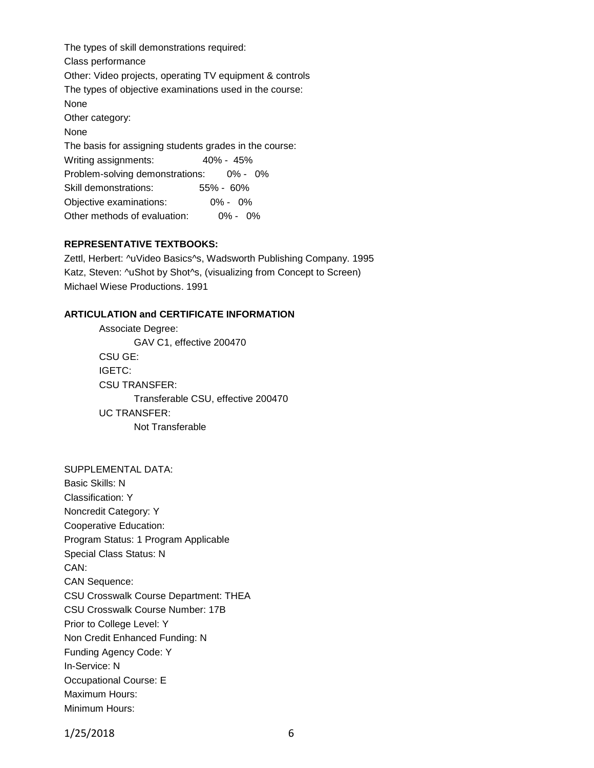The types of skill demonstrations required: Class performance Other: Video projects, operating TV equipment & controls The types of objective examinations used in the course: None Other category: None The basis for assigning students grades in the course: Writing assignments: 40% - 45% Problem-solving demonstrations: 0% - 0% Skill demonstrations: 55% - 60% Objective examinations: 0% - 0% Other methods of evaluation: 0% - 0%

# **REPRESENTATIVE TEXTBOOKS:**

Zettl, Herbert: ^uVideo Basics^s, Wadsworth Publishing Company. 1995 Katz, Steven: ^uShot by Shot^s, (visualizing from Concept to Screen) Michael Wiese Productions. 1991

# **ARTICULATION and CERTIFICATE INFORMATION**

Associate Degree: GAV C1, effective 200470 CSU GE: IGETC: CSU TRANSFER: Transferable CSU, effective 200470 UC TRANSFER: Not Transferable

SUPPLEMENTAL DATA: Basic Skills: N Classification: Y Noncredit Category: Y Cooperative Education: Program Status: 1 Program Applicable Special Class Status: N CAN: CAN Sequence: CSU Crosswalk Course Department: THEA CSU Crosswalk Course Number: 17B Prior to College Level: Y Non Credit Enhanced Funding: N Funding Agency Code: Y In-Service: N Occupational Course: E Maximum Hours: Minimum Hours: